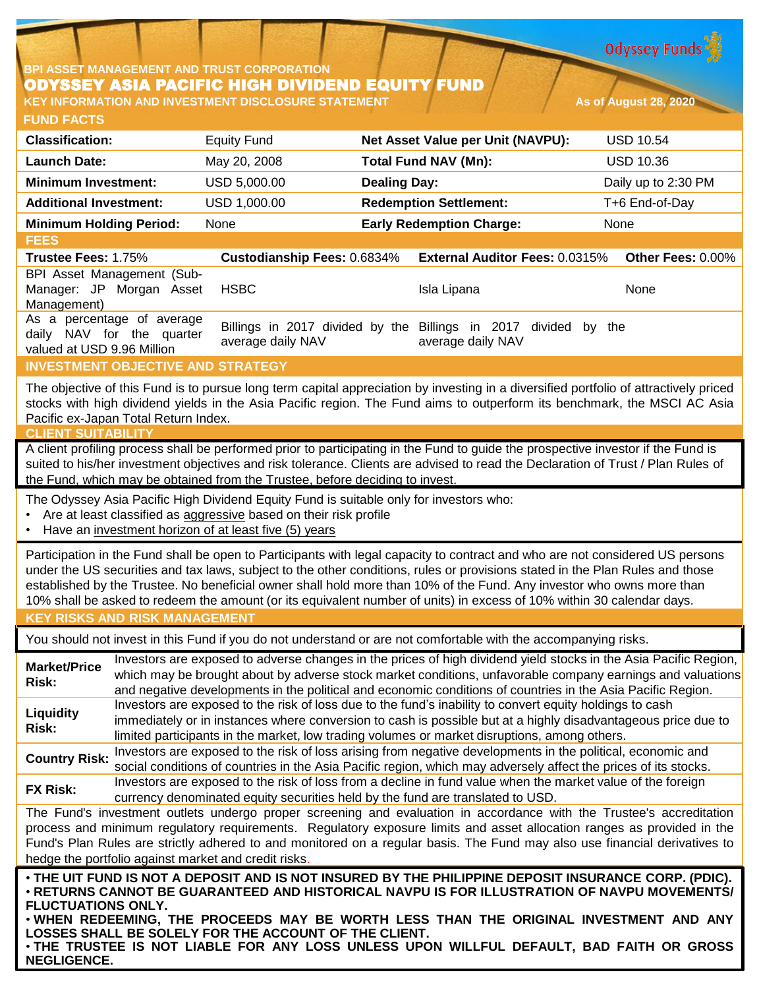**Odyssey Funds** 

## **BPI ASSET MANAGEMENT AND TRUST CORPORATION** ODYSSEY ASIA PACIFIC HIGH DIVIDEND EQUITY FUND **KEY INFORMATION AND INVESTMENT DISCLOSURE STATEMENT As of August 28, 2020**

**FUND FACTS**

| <b>Classification:</b>         | <b>Equity Fund</b>          | Net Asset Value per Unit (NAVPU):     | <b>USD 10.54</b>         |
|--------------------------------|-----------------------------|---------------------------------------|--------------------------|
| <b>Launch Date:</b>            | May 20, 2008                | <b>Total Fund NAV (Mn):</b>           | <b>USD 10.36</b>         |
| <b>Minimum Investment:</b>     | USD 5,000.00                | <b>Dealing Day:</b>                   | Daily up to 2:30 PM      |
| <b>Additional Investment:</b>  | USD 1,000.00                | <b>Redemption Settlement:</b>         | T+6 End-of-Day           |
| <b>Minimum Holding Period:</b> | None                        | <b>Early Redemption Charge:</b>       | None                     |
| <b>FEES</b>                    |                             |                                       |                          |
| Trustee Fees: 1.75%            | Custodianship Fees: 0.6834% | <b>External Auditor Fees: 0.0315%</b> | <b>Other Fees: 0.00%</b> |
| BPI Asset Management (Sub-     |                             |                                       |                          |

Manager: JP Morgan Asset Management) HSBC Isla Lipana None As a percentage of average daily NAV for the quarter valued at USD 9.96 Million Billings in 2017 divided by the Billings in 2017 divided by the average daily NAV average daily NAV

## **INVESTMENT OBJECTIVE AND STRATEGY**

The objective of this Fund is to pursue long term capital appreciation by investing in a diversified portfolio of attractively priced stocks with high dividend yields in the Asia Pacific region. The Fund aims to outperform its benchmark, the MSCI AC Asia Pacific ex-Japan Total Return Index.

### **CLIENT SUITABILITY**

A client profiling process shall be performed prior to participating in the Fund to guide the prospective investor if the Fund is suited to his/her investment objectives and risk tolerance. Clients are advised to read the Declaration of Trust / Plan Rules of the Fund, which may be obtained from the Trustee, before deciding to invest.

The Odyssey Asia Pacific High Dividend Equity Fund is suitable only for investors who:

- Are at least classified as aggressive based on their risk profile
- Have an investment horizon of at least five (5) years

Participation in the Fund shall be open to Participants with legal capacity to contract and who are not considered US persons under the US securities and tax laws, subject to the other conditions, rules or provisions stated in the Plan Rules and those established by the Trustee. No beneficial owner shall hold more than 10% of the Fund. Any investor who owns more than 10% shall be asked to redeem the amount (or its equivalent number of units) in excess of 10% within 30 calendar days.

## **KEY RISKS AND RISK MANAGEMENT**

You should not invest in this Fund if you do not understand or are not comfortable with the accompanying risks.

**Market/Price Risk:** Investors are exposed to adverse changes in the prices of high dividend yield stocks in the Asia Pacific Region, which may be brought about by adverse stock market conditions, unfavorable company earnings and valuations and negative developments in the political and economic conditions of countries in the Asia Pacific Region. **Liquidity Risk:** Investors are exposed to the risk of loss due to the fund's inability to convert equity holdings to cash immediately or in instances where conversion to cash is possible but at a highly disadvantageous price due to limited participants in the market, low trading volumes or market disruptions, among others. **Country Risk:** Investors are exposed to the risk of loss arising from negative developments in the political, economic and<br>Country Risk: experiment is and countries in the Asia Resification which were at your above at the

social conditions of countries in the Asia Pacific region, which may adversely affect the prices of its stocks. **FX Risk:** Investors are exposed to the risk of loss from a decline in fund value when the market value of the foreign

currency denominated equity securities held by the fund are translated to USD.

The Fund's investment outlets undergo proper screening and evaluation in accordance with the Trustee's accreditation process and minimum regulatory requirements. Regulatory exposure limits and asset allocation ranges as provided in the Fund's Plan Rules are strictly adhered to and monitored on a regular basis. The Fund may also use financial derivatives to hedge the portfolio against market and credit risks.

• THE UIT FUND IS NOT A DEPOSIT AND IS NOT INSURED BY THE PHILIPPINE DEPOSIT INSURANCE CORP. (PDIC). • **RETURNS CANNOT BE GUARANTEED AND HISTORICAL NAVPU IS FOR ILLUSTRATION OF NAVPU MOVEMENTS/ FLUCTUATIONS ONLY.**

• **WHEN REDEEMING, THE PROCEEDS MAY BE WORTH LESS THAN THE ORIGINAL INVESTMENT AND ANY LOSSES SHALL BE SOLELY FOR THE ACCOUNT OF THE CLIENT.**

• **THE TRUSTEE IS NOT LIABLE FOR ANY LOSS UNLESS UPON WILLFUL DEFAULT, BAD FAITH OR GROSS NEGLIGENCE.**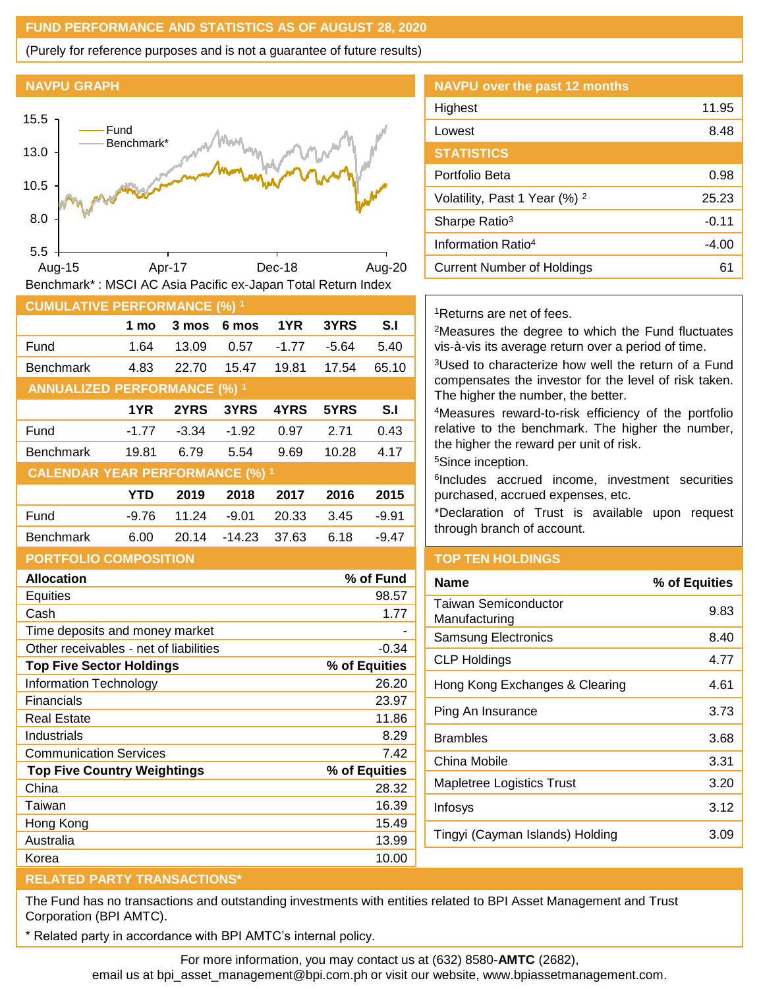## **FUND PERFORMANCE AND STATISTICS AS OF AUGUST 28, 2020**

(Purely for reference purposes and is not a guarantee of future results)

### **NAVPU GRAPH**



| <b>CUMULATIVE PERFORMANCE (%) 1</b>    |            |         |          |         |       |                |  |
|----------------------------------------|------------|---------|----------|---------|-------|----------------|--|
|                                        | 1 mo       | 3 mos   | 6 mos    | 1YR     | 3YRS  | S <sub>1</sub> |  |
| Fund                                   | 1.64       | 13.09   | 0.57     | $-1.77$ | -5.64 | 5.40           |  |
| <b>Benchmark</b>                       | 4.83       | 22.70   | 15.47    | 19.81   | 17.54 | 65.10          |  |
| <b>ANNUALIZED PERFORMANCE (%) 1</b>    |            |         |          |         |       |                |  |
|                                        | 1YR        | 2YRS    | 3YRS     | 4YRS    | 5YRS  | S.I            |  |
| Fund                                   | $-1.77$    | $-3.34$ | $-1.92$  | 0.97    | 2.71  | 0.43           |  |
| <b>Benchmark</b>                       | 19.81      | 6.79    | 5.54     | 9.69    | 10.28 | 4.17           |  |
| <b>CALENDAR YEAR PERFORMANCE (%) 1</b> |            |         |          |         |       |                |  |
|                                        | <b>YTD</b> | 2019    | 2018     | 2017    | 2016  | 2015           |  |
| Fund                                   | $-9.76$    | 11.24   | $-9.01$  | 20.33   | 3.45  | $-9.91$        |  |
| <b>Benchmark</b>                       | 6.00       | 20.14   | $-14.23$ | 37.63   | 6.18  | $-9.47$        |  |
|                                        |            |         |          |         |       |                |  |

## **PORTFOLIO COMPOSITION**

| <b>Allocation</b>                      | % of Fund     |
|----------------------------------------|---------------|
| <b>Equities</b>                        | 98.57         |
| Cash                                   | 1.77          |
| Time deposits and money market         |               |
| Other receivables - net of liabilities | $-0.34$       |
| <b>Top Five Sector Holdings</b>        | % of Equities |
| <b>Information Technology</b>          | 26.20         |
| Financials                             | 23.97         |
| <b>Real Estate</b>                     | 11.86         |
| Industrials                            | 8.29          |
| <b>Communication Services</b>          | 7.42          |
| <b>Top Five Country Weightings</b>     | % of Equities |
| China                                  | 28.32         |
| Taiwan                                 | 16.39         |
| Hong Kong                              | 15.49         |
| Australia                              | 13.99         |
| Korea                                  | 10.00         |

# **NAVPU over the past 12 months** Highest 11.95 Lowest 8.48 **STATISTICS** Portfolio Beta 0.98 Volatility, Past 1 Year  $(\%)$  <sup>2</sup> 25.23 Sharpe Ratio<sup>3</sup> -0.11 Information Ratio<sup>4</sup> and American control and Assembly 14.00 Current Number of Holdings **61**

### <sup>1</sup>Returns are net of fees.

<sup>2</sup>Measures the degree to which the Fund fluctuates vis-à-vis its average return over a period of time.

<sup>3</sup>Used to characterize how well the return of a Fund compensates the investor for the level of risk taken. The higher the number, the better.

<sup>4</sup>Measures reward-to-risk efficiency of the portfolio relative to the benchmark. The higher the number, the higher the reward per unit of risk.

<sup>5</sup>Since inception.

6 Includes accrued income, investment securities purchased, accrued expenses, etc.

\*Declaration of Trust is available upon request through branch of account.

### **TOP TEN HOLDINGS**

| Name                                  | % of Equities |
|---------------------------------------|---------------|
| Taiwan Semiconductor<br>Manufacturing | 9.83          |
| <b>Samsung Electronics</b>            | 8.40          |
| CLP Holdings                          | 4.77          |
| Hong Kong Exchanges & Clearing        | 4.61          |
| Ping An Insurance                     | 3.73          |
| Brambles                              | 3.68          |
| China Mobile                          | 3.31          |
| <b>Mapletree Logistics Trust</b>      | 3.20          |
| Infosys                               | 3.12          |
| Tingyi (Cayman Islands) Holding       | 3.09          |
|                                       |               |

### **RELATED PARTY TRANSACTIONS\***

The Fund has no transactions and outstanding investments with entities related to BPI Asset Management and Trust Corporation (BPI AMTC).

Related party in accordance with BPI AMTC's internal policy.

For more information, you may contact us at (632) 8580-**AMTC** (2682),

email us at bpi\_asset\_management@bpi.com.ph or visit our website, www.bpiassetmanagement.com.